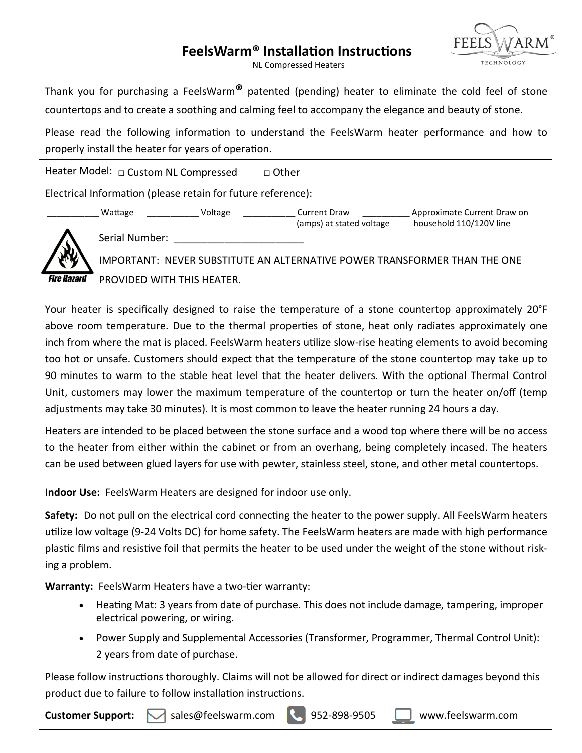# **FeelsWarm® Installation Instructions**



NL Compressed Heaters

Thank you for purchasing a FeelsWarm**®** patented (pending) heater to eliminate the cold feel of stone countertops and to create a soothing and calming feel to accompany the elegance and beauty of stone.

Please read the following information to understand the FeelsWarm heater performance and how to properly install the heater for years of operation.

Heater Model: □ Custom NL Compressed □ Other Electrical Information (please retain for future reference): Wattage  $U$ oltage  $V$ oltage  $U$  Current Draw  $V$  Approximate Current Draw on (amps) at stated voltage household 110/120V line Serial Number: \_\_\_\_\_\_\_\_\_\_\_\_\_\_\_\_\_\_\_\_\_\_\_ IMPORTANT: NEVER SUBSTITUTE AN ALTERNATIVE POWER TRANSFORMER THAN THE ONE **Fire Hazard** PROVIDED WITH THIS HEATER.

Your heater is specifically designed to raise the temperature of a stone countertop approximately 20°F above room temperature. Due to the thermal properties of stone, heat only radiates approximately one inch from where the mat is placed. FeelsWarm heaters utilize slow-rise heating elements to avoid becoming too hot or unsafe. Customers should expect that the temperature of the stone countertop may take up to 90 minutes to warm to the stable heat level that the heater delivers. With the optional Thermal Control Unit, customers may lower the maximum temperature of the countertop or turn the heater on/off (temp adjustments may take 30 minutes). It is most common to leave the heater running 24 hours a day.

Heaters are intended to be placed between the stone surface and a wood top where there will be no access to the heater from either within the cabinet or from an overhang, being completely incased. The heaters can be used between glued layers for use with pewter, stainless steel, stone, and other metal countertops.

**Indoor Use:** FeelsWarm Heaters are designed for indoor use only.

**Safety:** Do not pull on the electrical cord connecting the heater to the power supply. All FeelsWarm heaters utilize low voltage (9-24 Volts DC) for home safety. The FeelsWarm heaters are made with high performance plastic films and resistive foil that permits the heater to be used under the weight of the stone without risking a problem.

**Warranty:** FeelsWarm Heaters have a two-tier warranty:

- Heating Mat: 3 years from date of purchase. This does not include damage, tampering, improper electrical powering, or wiring.
- Power Supply and Supplemental Accessories (Transformer, Programmer, Thermal Control Unit): 2 years from date of purchase.

Please follow instructions thoroughly. Claims will not be allowed for direct or indirect damages beyond this product due to failure to follow installation instructions.

**Customer Support:**  $\blacksquare$  sales@feelswarm.com  $\blacksquare$  952-898-9505  $\blacksquare$  www.feelswarm.com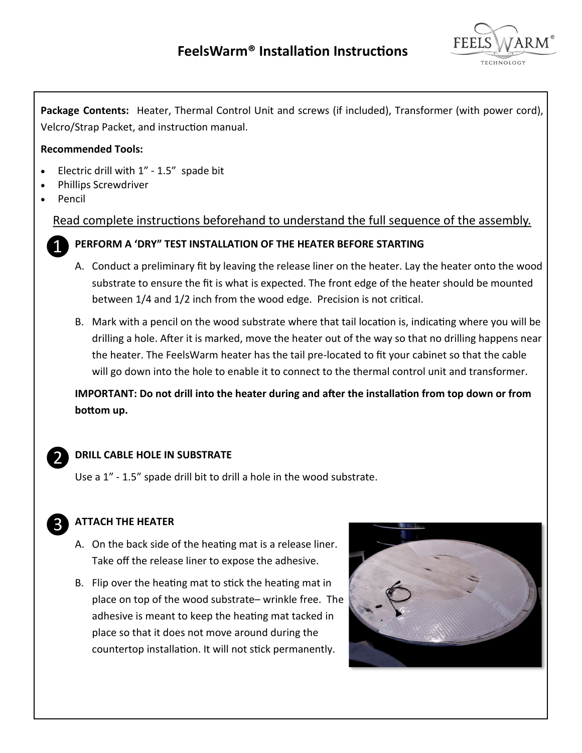

**Package Contents:** Heater, Thermal Control Unit and screws (if included), Transformer (with power cord), Velcro/Strap Packet, and instruction manual.

#### **Recommended Tools:**

- Electric drill with  $1" 1.5"$  spade bit
- Phillips Screwdriver
- Pencil

Read complete instructions beforehand to understand the full sequence of the assembly.



### **PERFORM A 'DRY" TEST INSTALLATION OF THE HEATER BEFORE STARTING**

- A. Conduct a preliminary fit by leaving the release liner on the heater. Lay the heater onto the wood substrate to ensure the fit is what is expected. The front edge of the heater should be mounted between 1/4 and 1/2 inch from the wood edge. Precision is not critical.
- B. Mark with a pencil on the wood substrate where that tail location is, indicating where you will be drilling a hole. After it is marked, move the heater out of the way so that no drilling happens near the heater. The FeelsWarm heater has the tail pre-located to fit your cabinet so that the cable will go down into the hole to enable it to connect to the thermal control unit and transformer.

**IMPORTANT: Do not drill into the heater during and after the installation from top down or from bottom up.** 



## **DRILL CABLE HOLE IN SUBSTRATE**

Use a 1" - 1.5" spade drill bit to drill a hole in the wood substrate.



## **ATTACH THE HEATER**

- A. On the back side of the heating mat is a release liner. Take off the release liner to expose the adhesive.
- B. Flip over the heating mat to stick the heating mat in place on top of the wood substrate– wrinkle free. The adhesive is meant to keep the heating mat tacked in place so that it does not move around during the countertop installation. It will not stick permanently.

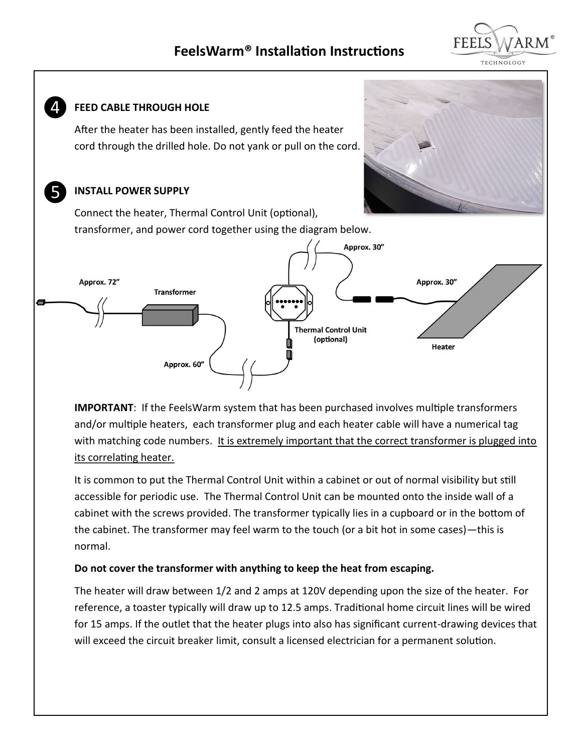# **FeelsWarm® Installation Instructions**





**IMPORTANT**: If the FeelsWarm system that has been purchased involves multiple transformers and/or multiple heaters, each transformer plug and each heater cable will have a numerical tag with matching code numbers. It is extremely important that the correct transformer is plugged into its correlating heater.

It is common to put the Thermal Control Unit within a cabinet or out of normal visibility but still accessible for periodic use. The Thermal Control Unit can be mounted onto the inside wall of a cabinet with the screws provided. The transformer typically lies in a cupboard or in the bottom of the cabinet. The transformer may feel warm to the touch (or a bit hot in some cases)—this is normal.

#### **Do not cover the transformer with anything to keep the heat from escaping.**

The heater will draw between 1/2 and 2 amps at 120V depending upon the size of the heater. For reference, a toaster typically will draw up to 12.5 amps. Traditional home circuit lines will be wired for 15 amps. If the outlet that the heater plugs into also has significant current-drawing devices that will exceed the circuit breaker limit, consult a licensed electrician for a permanent solution.